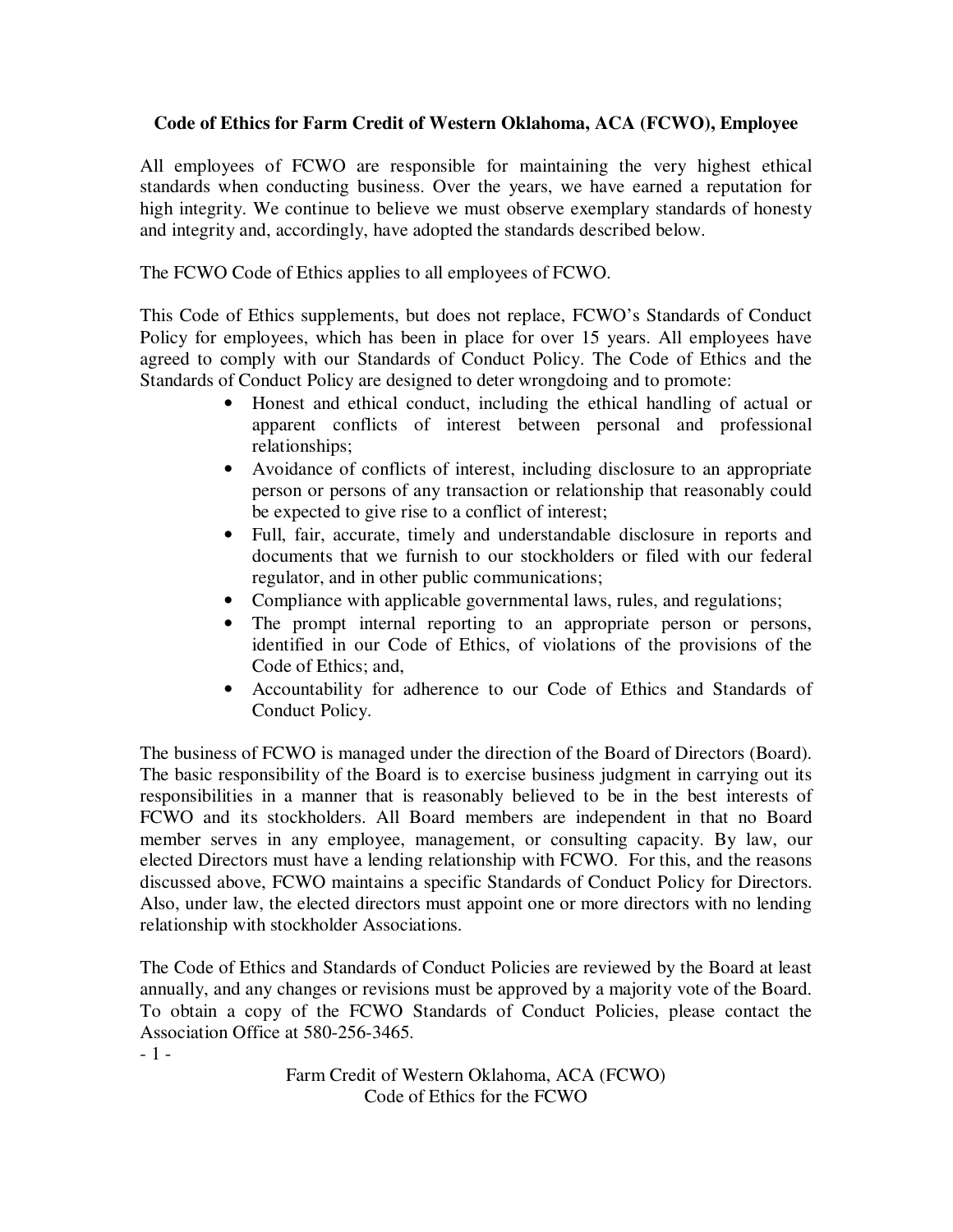## **Code of Ethics for Farm Credit of Western Oklahoma, ACA (FCWO), Employee**

All employees of FCWO are responsible for maintaining the very highest ethical standards when conducting business. Over the years, we have earned a reputation for high integrity. We continue to believe we must observe exemplary standards of honesty and integrity and, accordingly, have adopted the standards described below.

The FCWO Code of Ethics applies to all employees of FCWO.

This Code of Ethics supplements, but does not replace, FCWO's Standards of Conduct Policy for employees, which has been in place for over 15 years. All employees have agreed to comply with our Standards of Conduct Policy. The Code of Ethics and the Standards of Conduct Policy are designed to deter wrongdoing and to promote:

- Honest and ethical conduct, including the ethical handling of actual or apparent conflicts of interest between personal and professional relationships;
- Avoidance of conflicts of interest, including disclosure to an appropriate person or persons of any transaction or relationship that reasonably could be expected to give rise to a conflict of interest;
- Full, fair, accurate, timely and understandable disclosure in reports and documents that we furnish to our stockholders or filed with our federal regulator, and in other public communications;
- Compliance with applicable governmental laws, rules, and regulations;
- The prompt internal reporting to an appropriate person or persons, identified in our Code of Ethics, of violations of the provisions of the Code of Ethics; and,
- Accountability for adherence to our Code of Ethics and Standards of Conduct Policy.

The business of FCWO is managed under the direction of the Board of Directors (Board). The basic responsibility of the Board is to exercise business judgment in carrying out its responsibilities in a manner that is reasonably believed to be in the best interests of FCWO and its stockholders. All Board members are independent in that no Board member serves in any employee, management, or consulting capacity. By law, our elected Directors must have a lending relationship with FCWO. For this, and the reasons discussed above, FCWO maintains a specific Standards of Conduct Policy for Directors. Also, under law, the elected directors must appoint one or more directors with no lending relationship with stockholder Associations.

The Code of Ethics and Standards of Conduct Policies are reviewed by the Board at least annually, and any changes or revisions must be approved by a majority vote of the Board. To obtain a copy of the FCWO Standards of Conduct Policies, please contact the Association Office at 580-256-3465. - 1 -

> Farm Credit of Western Oklahoma, ACA (FCWO) Code of Ethics for the FCWO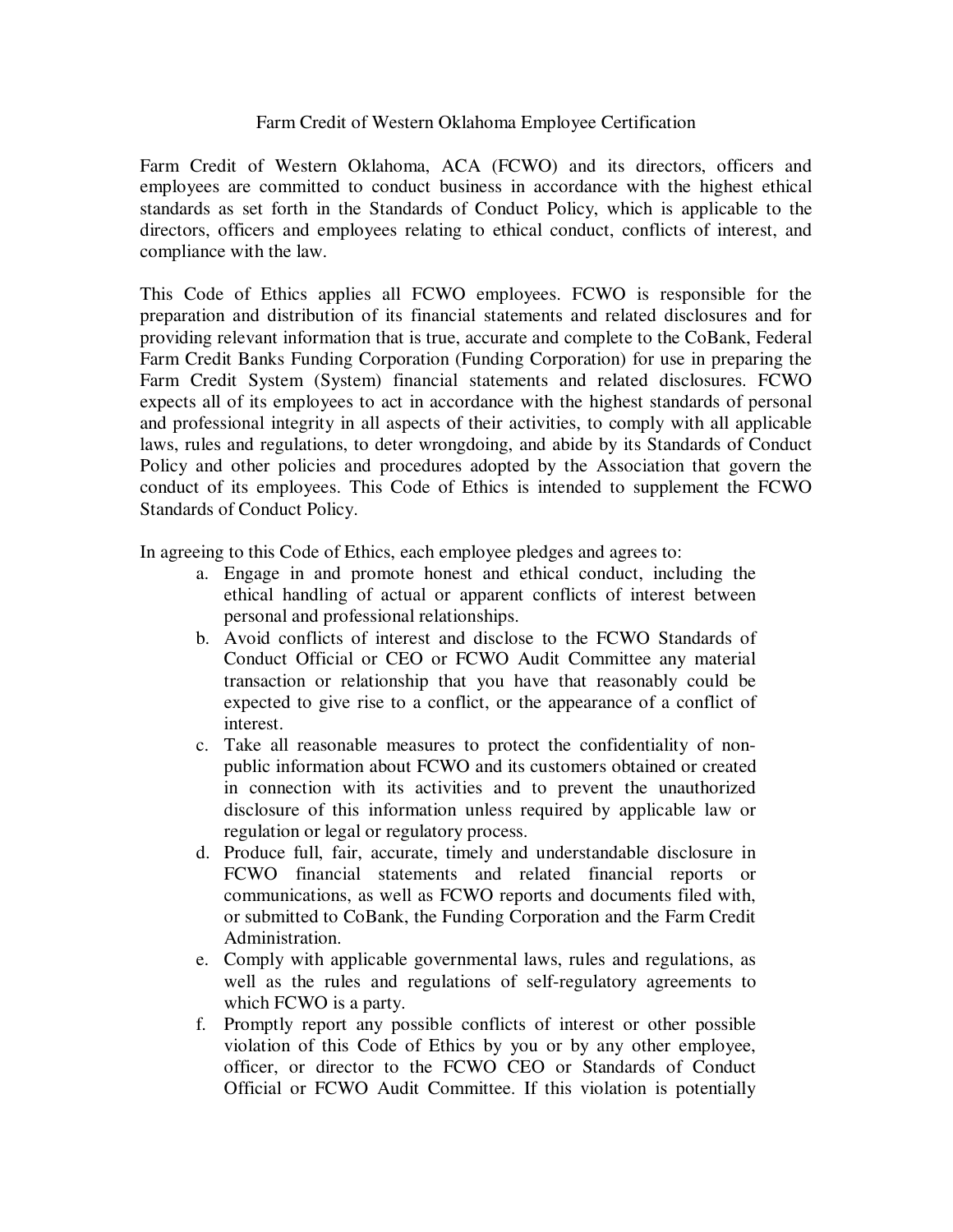## Farm Credit of Western Oklahoma Employee Certification

Farm Credit of Western Oklahoma, ACA (FCWO) and its directors, officers and employees are committed to conduct business in accordance with the highest ethical standards as set forth in the Standards of Conduct Policy, which is applicable to the directors, officers and employees relating to ethical conduct, conflicts of interest, and compliance with the law.

This Code of Ethics applies all FCWO employees. FCWO is responsible for the preparation and distribution of its financial statements and related disclosures and for providing relevant information that is true, accurate and complete to the CoBank, Federal Farm Credit Banks Funding Corporation (Funding Corporation) for use in preparing the Farm Credit System (System) financial statements and related disclosures. FCWO expects all of its employees to act in accordance with the highest standards of personal and professional integrity in all aspects of their activities, to comply with all applicable laws, rules and regulations, to deter wrongdoing, and abide by its Standards of Conduct Policy and other policies and procedures adopted by the Association that govern the conduct of its employees. This Code of Ethics is intended to supplement the FCWO Standards of Conduct Policy.

In agreeing to this Code of Ethics, each employee pledges and agrees to:

- a. Engage in and promote honest and ethical conduct, including the ethical handling of actual or apparent conflicts of interest between personal and professional relationships.
- b. Avoid conflicts of interest and disclose to the FCWO Standards of Conduct Official or CEO or FCWO Audit Committee any material transaction or relationship that you have that reasonably could be expected to give rise to a conflict, or the appearance of a conflict of interest.
- c. Take all reasonable measures to protect the confidentiality of nonpublic information about FCWO and its customers obtained or created in connection with its activities and to prevent the unauthorized disclosure of this information unless required by applicable law or regulation or legal or regulatory process.
- d. Produce full, fair, accurate, timely and understandable disclosure in FCWO financial statements and related financial reports or communications, as well as FCWO reports and documents filed with, or submitted to CoBank, the Funding Corporation and the Farm Credit Administration.
- e. Comply with applicable governmental laws, rules and regulations, as well as the rules and regulations of self-regulatory agreements to which FCWO is a party.
- f. Promptly report any possible conflicts of interest or other possible violation of this Code of Ethics by you or by any other employee, officer, or director to the FCWO CEO or Standards of Conduct Official or FCWO Audit Committee. If this violation is potentially